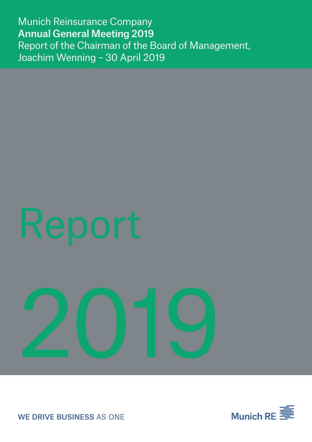Munich Reinsurance Company Annual General Meeting 2019 Report of the Chairman of the Board of Management, Joachim Wenning – 30 April 2019

# Report

# 2019



WE DRIVE BUSINESS AS ONE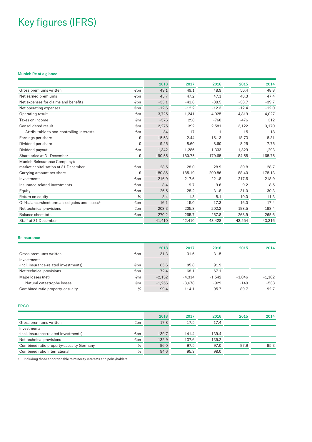# Key figures (IFRS)

### Munich Re at a glance

|                                                                   | 2018    | 2017    | 2016         | 2015    | 2014    |
|-------------------------------------------------------------------|---------|---------|--------------|---------|---------|
| Gross premiums written<br>€bn                                     | 49.1    | 49.1    | 48.9         | 50.4    | 48.8    |
| Net earned premiums<br>€bn                                        | 45.7    | 47.2    | 47.1         | 48.3    | 47.4    |
| Net expenses for claims and benefits<br>€bn                       | $-35.1$ | $-41.6$ | $-38.5$      | $-38.7$ | $-39.7$ |
| €bn<br>Net operating expenses                                     | $-12.6$ | $-12.2$ | $-12.3$      | $-12.4$ | $-12.0$ |
| Operating result<br>€m                                            | 3,725   | 1.241   | 4.025        | 4.819   | 4,027   |
| Taxes on income<br>€m                                             | $-576$  | 298     | $-760$       | $-476$  | 312     |
| Consolidated result<br>€m                                         | 2,275   | 392     | 2,581        | 3,122   | 3,170   |
| €m<br>Attributable to non-controlling interests                   | $-34$   | 17      | $\mathbf{1}$ | 15      | 18      |
| €<br>Earnings per share                                           | 15.53   | 2.44    | 16.13        | 18.73   | 18.31   |
| €<br>Dividend per share                                           | 9.25    | 8.60    | 8.60         | 8.25    | 7.75    |
| €m<br>Dividend payout                                             | 1,342   | 1,286   | 1,333        | 1,329   | 1,293   |
| €<br>Share price at 31 December                                   | 190.55  | 180.75  | 179.65       | 184.55  | 165.75  |
| Munich Reinsurance Company's                                      |         |         |              |         |         |
| market capitalisation at 31 December<br>€bn                       | 28.5    | 28.0    | 28.9         | 30.8    | 28.7    |
| €<br>Carrying amount per share                                    | 180.86  | 185.19  | 200.86       | 188.40  | 178.13  |
| €bn<br>Investments                                                | 216.9   | 217.6   | 221.8        | 217.6   | 218.9   |
| Insurance-related investments<br>€bn                              | 8.4     | 9.7     | 9.6          | 9.2     | 8.5     |
| €bn<br>Equity                                                     | 26.5    | 28.2    | 31.8         | 31.0    | 30.3    |
| %<br>Return on equity                                             | 8.4     | 1.3     | 8.1          | 10.0    | 11.3    |
| Off-balance-sheet unrealised gains and losses <sup>1</sup><br>€bn | 16.1    | 15.0    | 17.3         | 16.0    | 17.4    |
| Net technical provisions<br>€bn                                   | 208.3   | 205.8   | 202.2        | 198.5   | 198.4   |
| Balance sheet total<br>€bn                                        | 270.2   | 265.7   | 267.8        | 268.9   | 265.6   |
| Staff at 31 December                                              | 41,410  | 42,410  | 43,428       | 43,554  | 43,316  |

### Reinsurance

|                                              | 2018     | 2017     | 2016     | 2015     | 2014     |
|----------------------------------------------|----------|----------|----------|----------|----------|
| €bn<br>Gross premiums written                | 31.3     | 31.6     | 31.5     |          |          |
| Investments                                  |          |          |          |          |          |
| €bn<br>(incl. insurance-related investments) | 85.6     | 85.8     | 91.9     |          |          |
| Net technical provisions<br>€bn              | 72.4     | 68.1     | 67.1     |          |          |
| €m<br>Major losses (net)                     | $-2,152$ | $-4.314$ | $-1.542$ | $-1.046$ | $-1.162$ |
| Natural catastrophe losses<br>€m             | $-1,256$ | $-3,678$ | $-929$   | $-149$   | $-538$   |
| %<br>Combined ratio property-casualty        | 99.4     | 114.1    | 95.7     | 89.7     | 92.7     |

### er and the second contract of the second contract of the second contract of the second contract of the second contract of the second contract of the second contract of the second contract of the second contract of the seco

|                                               | 2018  | 2017  | 2016  | 2015 | 2014 |
|-----------------------------------------------|-------|-------|-------|------|------|
| €bn<br>Gross premiums written                 | 17.8  | 17.5  | 17.4  |      |      |
| Investments                                   |       |       |       |      |      |
| €bn<br>(incl. insurance-related investments)  | 139.7 | 141.4 | 139.4 |      |      |
| Net technical provisions<br>€bn               | 135.9 | 137.6 | 135.2 |      |      |
| %<br>Combined ratio property-casualty Germany | 96.0  | 97.5  | 97.0  | 97.9 | 95.3 |
| %<br>Combined ratio International             | 94.6  | 95.3  | 98.0  |      |      |

1 Including those apportionable to minority interests and policyholders.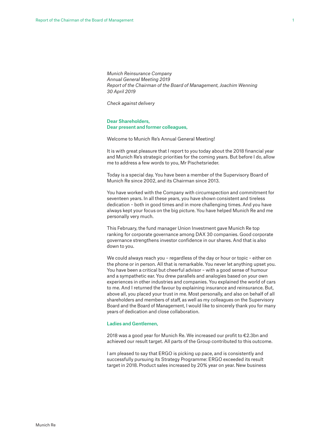*Munich Reinsurance Company Annual General Meeting 2019 Report of the Chairman of the Board of Management, Joachim Wenning 30 April 2019*

*Check against delivery*

### Dear Shareholders, Dear present and former colleagues,

Welcome to Munich Re's Annual General Meeting!

It is with great pleasure that I report to you today about the 2018 financial year and Munich Re's strategic priorities for the coming years. But before I do, allow me to address a few words to you, Mr Pischetsrieder.

Today is a special day. You have been a member of the Supervisory Board of Munich Re since 2002, and its Chairman since 2013.

You have worked with the Company with circumspection and commitment for seventeen years. In all these years, you have shown consistent and tireless dedication – both in good times and in more challenging times. And you have always kept your focus on the big picture. You have helped Munich Re and me personally very much.

This February, the fund manager Union Investment gave Munich Re top ranking for corporate governance among DAX 30 companies. Good corporate governance strengthens investor confidence in our shares. And that is also down to you.

We could always reach you – regardless of the day or hour or topic – either on the phone or in person. All that is remarkable. You never let anything upset you. You have been a critical but cheerful advisor – with a good sense of humour and a sympathetic ear. You drew parallels and analogies based on your own experiences in other industries and companies. You explained the world of cars to me. And I returned the favour by explaining insurance and reinsurance. But, above all, you placed your trust in me. Most personally, and also on behalf of all shareholders and members of staff, as well as my colleagues on the Supervisory Board and the Board of Management, I would like to sincerely thank you for many years of dedication and close collaboration.

### Ladies and Gentlemen,

2018 was a good year for Munich Re. We increased our profit to €2.3bn and achieved our result target. All parts of the Group contributed to this outcome.

I am pleased to say that ERGO is picking up pace, and is consistently and successfully pursuing its Strategy Programme: ERGO exceeded its result target in 2018. Product sales increased by 20% year on year. New business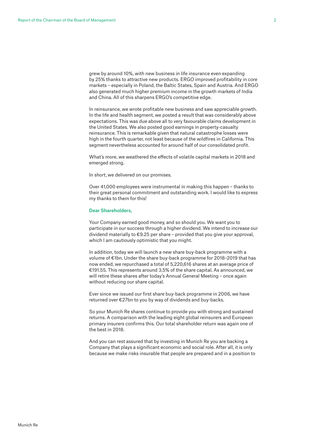grew by around 10%, with new business in life insurance even expanding by 25% thanks to attractive new products. ERGO improved profitability in core markets – especially in Poland, the Baltic States, Spain and Austria. And ERGO also generated much higher premium income in the growth markets of India and China. All of this sharpens ERGO's competitive edge.

In reinsurance, we wrote profitable new business and saw appreciable growth. In the life and health segment, we posted a result that was considerably above expectations. This was due above all to very favourable claims development in the United States. We also posted good earnings in property-casualty reinsurance. This is remarkable given that natural catastrophe losses were high in the fourth quarter, not least because of the wildfires in California. This segment nevertheless accounted for around half of our consolidated profit.

What's more, we weathered the effects of volatile capital markets in 2018 and emerged strong.

In short, we delivered on our promises.

Over 41,000 employees were instrumental in making this happen – thanks to their great personal commitment and outstanding work. I would like to express my thanks to them for this!

### Dear Shareholders,

Your Company earned good money, and so should you. We want you to participate in our success through a higher dividend. We intend to increase our dividend materially to €9.25 per share – provided that you give your approval, which I am cautiously optimistic that you might.

In addition, today we will launch a new share buy-back programme with a volume of €1bn. Under the share buy-back programme for 2018–2019 that has now ended, we repurchased a total of 5,220,616 shares at an average price of €191.55. This represents around 3.5% of the share capital. As announced, we will retire these shares after today's Annual General Meeting – once again without reducing our share capital.

Ever since we issued our first share buy-back programme in 2006, we have returned over €27bn to you by way of dividends and buy-backs.

So your Munich Re shares continue to provide you with strong and sustained returns. A comparison with the leading eight global reinsurers and European primary insurers confirms this. Our total shareholder return was again one of the best in 2018.

And you can rest assured that by investing in Munich Re you are backing a Company that plays a significant economic and social role. After all, it is only because we make risks insurable that people are prepared and in a position to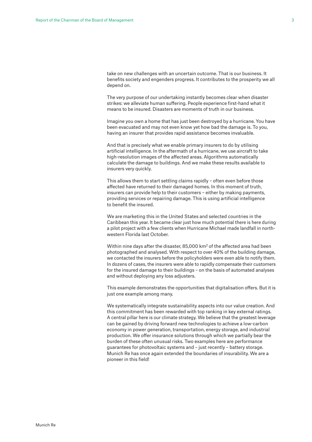take on new challenges with an uncertain outcome. That is our business. It benefits society and engenders progress. It contributes to the prosperity we all depend on.

The very purpose of our undertaking instantly becomes clear when disaster strikes: we alleviate human suffering. People experience first-hand what it means to be insured. Disasters are moments of truth in our business.

Imagine you own a home that has just been destroyed by a hurricane. You have been evacuated and may not even know yet how bad the damage is. To you, having an insurer that provides rapid assistance becomes invaluable.

And that is precisely what we enable primary insurers to do by utilising artificial intelligence. In the aftermath of a hurricane, we use aircraft to take high-resolution images of the affected areas. Algorithms automatically calculate the damage to buildings. And we make these results available to insurers very quickly.

This allows them to start settling claims rapidly – often even before those affected have returned to their damaged homes. In this moment of truth, insurers can provide help to their customers – either by making payments, providing services or repairing damage. This is using artificial intelligence to benefit the insured.

We are marketing this in the United States and selected countries in the Caribbean this year. It became clear just how much potential there is here during a pilot project with a few clients when Hurricane Michael made landfall in northwestern Florida last October.

Within nine days after the disaster, 85,000 km2 of the affected area had been photographed and analysed. With respect to over 40% of the building damage, we contacted the insurers before the policyholders were even able to notify them. In dozens of cases, the insurers were able to rapidly compensate their customers for the insured damage to their buildings – on the basis of automated analyses and without deploying any loss adjusters.

This example demonstrates the opportunities that digitalisation offers. But it is just one example among many.

We systematically integrate sustainability aspects into our value creation. And this commitment has been rewarded with top ranking in key external ratings. A central pillar here is our climate strategy. We believe that the greatest leverage can be gained by driving forward new technologies to achieve a low-carbon economy in power generation, transportation, energy storage, and industrial production. We offer insurance solutions through which we partially bear the burden of these often unusual risks. Two examples here are performance guarantees for photovoltaic systems and – just recently – battery storage. Munich Re has once again extended the boundaries of insurability. We are a pioneer in this field!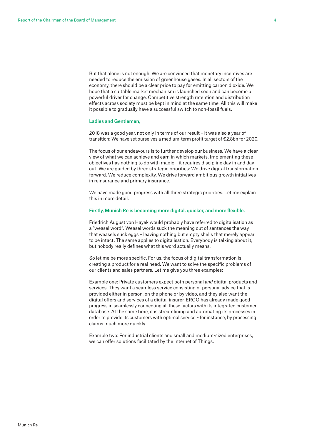But that alone is not enough. We are convinced that monetary incentives are needed to reduce the emission of greenhouse gases. In all sectors of the economy, there should be a clear price to pay for emitting carbon dioxide. We hope that a suitable market mechanism is launched soon and can become a powerful driver for change. Competitive strength retention and distribution effects across society must be kept in mind at the same time. All this will make it possible to gradually have a successful switch to non-fossil fuels.

### Ladies and Gentlemen,

2018 was a good year, not only in terms of our result – it was also a year of transition: We have set ourselves a medium-term profit target of €2.8bn for 2020.

The focus of our endeavours is to further develop our business. We have a clear view of what we can achieve and earn in which markets. Implementing these objectives has nothing to do with magic – it requires discipline day in and day out. We are guided by three strategic priorities: We drive digital transformation forward. We reduce complexity. We drive forward ambitious growth initiatives in reinsurance and primary insurance.

We have made good progress with all three strategic priorities. Let me explain this in more detail.

### Firstly, Munich Re is becoming more digital, quicker, and more flexible.

Friedrich August von Hayek would probably have referred to digitalisation as a "weasel word". Weasel words suck the meaning out of sentences the way that weasels suck eggs – leaving nothing but empty shells that merely appear to be intact. The same applies to digitalisation. Everybody is talking about it, but nobody really defines what this word actually means.

So let me be more specific. For us, the focus of digital transformation is creating a product for a real need. We want to solve the specific problems of our clients and sales partners. Let me give you three examples:

Example one: Private customers expect both personal *and* digital products and services. They want a seamless service consisting of personal advice that is provided either in person, on the phone or by video, and they also want the digital offers and services of a digital insurer. ERGO has already made good progress in seamlessly connecting all these factors with its integrated customer database. At the same time, it is streamlining and automating its processes in order to provide its customers with optimal service – for instance, by processing claims much more quickly.

Example two: For industrial clients and small and medium-sized enterprises, we can offer solutions facilitated by the Internet of Things.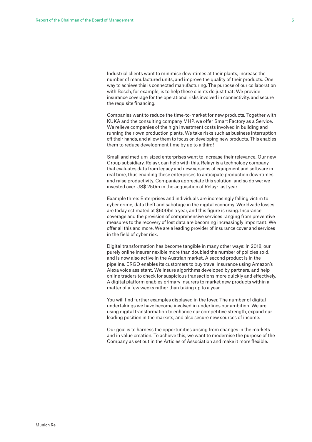Industrial clients want to minimise downtimes at their plants, increase the number of manufactured units, and improve the quality of their products. One way to achieve this is connected manufacturing. The purpose of our collaboration with Bosch, for example, is to help these clients do just that: We provide insurance coverage for the operational risks involved in connectivity, and secure the requisite financing.

Companies want to reduce the time-to-market for new products. Together with KUKA and the consulting company MHP, we offer Smart Factory as a Service. We relieve companies of the high investment costs involved in building and running their own production plants. We take risks such as business interruption off their hands, and allow them to focus on developing new products. This enables them to reduce development time by up to a third!

Small and medium-sized enterprises want to increase their relevance. Our new Group subsidiary, Relayr, can help with this. Relayr is a technology company that evaluates data from legacy and new versions of equipment and software in real time, thus enabling these enterprises to anticipate production downtimes and raise productivity. Companies appreciate this solution, and so do we: we invested over US\$ 250m in the acquisition of Relayr last year.

Example three: Enterprises and individuals are increasingly falling victim to cyber crime, data theft and sabotage in the digital economy. Worldwide losses are today estimated at \$600bn a year, and this figure is rising. Insurance coverage and the provision of comprehensive services ranging from preventive measures to the recovery of lost data are becoming increasingly important. We offer all this and more. We are a leading provider of insurance cover and services in the field of cyber risk.

Digital transformation has become tangible in many other ways: In 2018, our purely online insurer nexible more than doubled the number of policies sold, and is now also active in the Austrian market. A second product is in the pipeline. ERGO enables its customers to buy travel insurance using Amazon's Alexa voice assistant. We insure algorithms developed by partners, and help online traders to check for suspicious transactions more quickly and effectively. A digital platform enables primary insurers to market new products within a matter of a few weeks rather than taking up to a year.

You will find further examples displayed in the foyer. The number of digital undertakings we have become involved in underlines our ambition. We are using digital transformation to enhance our competitive strength, expand our leading position in the markets, and also secure new sources of income.

Our goal is to harness the opportunities arising from changes in the markets and in value creation. To achieve this, we want to modernise the purpose of the Company as set out in the Articles of Association and make it more flexible.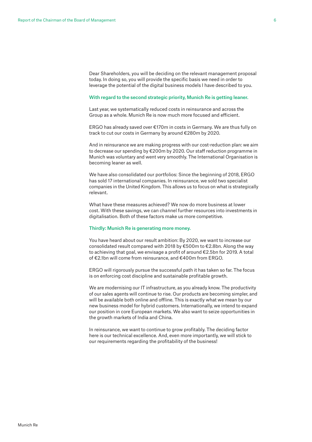Dear Shareholders, you will be deciding on the relevant management proposal today. In doing so, you will provide the specific basis we need in order to leverage the potential of the digital business models I have described to you.

### With regard to the second strategic priority, Munich Re is getting leaner.

Last year, we systematically reduced costs in reinsurance and across the Group as a whole. Munich Re is now much more focused and efficient.

ERGO has already saved over €170m in costs in Germany. We are thus fully on track to cut our costs in Germany by around €280m by 2020.

And in reinsurance we are making progress with our cost-reduction plan: we aim to decrease our spending by €200m by 2020. Our staff reduction programme in Munich was voluntary and went very smoothly. The International Organisation is becoming leaner as well.

We have also consolidated our portfolios: Since the beginning of 2018, ERGO has sold 17 international companies. In reinsurance, we sold two specialist companies in the United Kingdom. This allows us to focus on what is strategically relevant.

What have these measures achieved? We now do more business at lower cost. With these savings, we can channel further resources into investments in digitalisation. Both of these factors make us more competitive.

### Thirdly: Munich Re is generating more money.

You have heard about our result ambition: By 2020, we want to increase our consolidated result compared with 2018 by €500m to €2.8bn. Along the way to achieving that goal, we envisage a profit of around €2.5bn for 2019. A total of €2.1bn will come from reinsurance, and €400m from ERGO.

ERGO will rigorously pursue the successful path it has taken so far. The focus is on enforcing cost discipline and sustainable profitable growth.

We are modernising our IT infrastructure, as you already know. The productivity of our sales agents will continue to rise. Our products are becoming simpler, and will be available both online and offline. This is exactly what we mean by our new business model for hybrid customers. Internationally, we intend to expand our position in core European markets. We also want to seize opportunities in the growth markets of India and China.

In reinsurance, we want to continue to grow profitably. The deciding factor here is our technical excellence. And, even more importantly, we will stick to our requirements regarding the profitability of the business!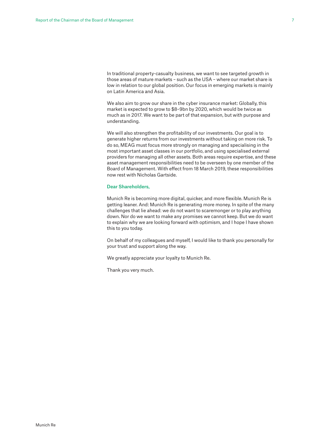In traditional property-casualty business, we want to see targeted growth in those areas of mature markets – such as the USA – where our market share is low in relation to our global position. Our focus in emerging markets is mainly on Latin America and Asia.

We also aim to grow our share in the cyber insurance market: Globally, this market is expected to grow to \$8–9bn by 2020, which would be twice as much as in 2017. We want to be part of that expansion, but with purpose and understanding.

We will also strengthen the profitability of our investments. Our goal is to generate higher returns from our investments without taking on more risk. To do so, MEAG must focus more strongly on managing and specialising in the most important asset classes in our portfolio, and using specialised external providers for managing all other assets. Both areas require expertise, and these asset management responsibilities need to be overseen by one member of the Board of Management. With effect from 18 March 2019, these responsibilities now rest with Nicholas Gartside.

### Dear Shareholders,

Munich Re is becoming more digital, quicker, and more flexible. Munich Re is getting leaner. And: Munich Re is generating more money. In spite of the many challenges that lie ahead: we do not want to scaremonger or to play anything down. Nor do we want to make any promises we cannot keep. But we do want to explain why we are looking forward with optimism, and I hope I have shown this to you today.

On behalf of my colleagues and myself, I would like to thank you personally for your trust and support along the way.

We greatly appreciate your loyalty to Munich Re.

Thank you very much.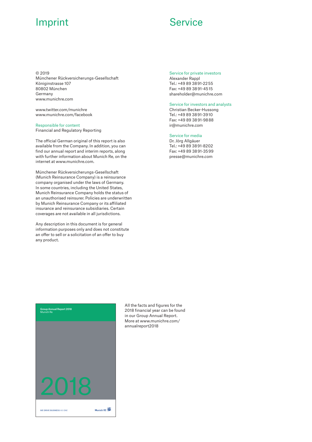## **Imprint Service**

© 2019 Münchener Rückversicherungs-Gesellschaft Königinstrasse 107 80802 München Germany www.munichre.com

www.twitter.com/munichre www.munichre.com/facebook

### Responsible for content

Financial and Regulatory Reporting

The official German original of this report is also available from the Company. In addition, you can find our annual report and interim reports, along with further information about Munich Re, on the internet at www.munichre.com.

Münchener Rückversicherungs-Gesellschaft (Munich Reinsurance Company) is a reinsurance company organised under the laws of Germany. In some countries, including the United States, Munich Reinsurance Company holds the status of an unauthorised reinsurer. Policies are underwritten by Munich Reinsurance Company or its affiliated insurance and reinsurance subsidiaries. Certain coverages are not available in all jurisdictions.

Any description in this document is for general information purposes only and does not constitute an offer to sell or a solicitation of an offer to buy any product.

Service for private investors Alexander Rappl Tel.: +49 89 38 91-22 55 Fax: +49 89 38 91-45 15 shareholder@munichre.com

### Service for investors and analysts

Christian Becker-Hussong Tel.: +49 89 38 91-39 10 Fax: +49 89 38 91-98 88 ir@munichre.com

### Service for media

Dr. Jörg Allgäuer Tel.: +49 89 38 91-8202 Fax: +49 89 38 91-35 99 presse@munichre.com



All the facts and figures for the 2018 financial year can be found in our Group Annual Report. More at www.munichre.com/ annualreport2018